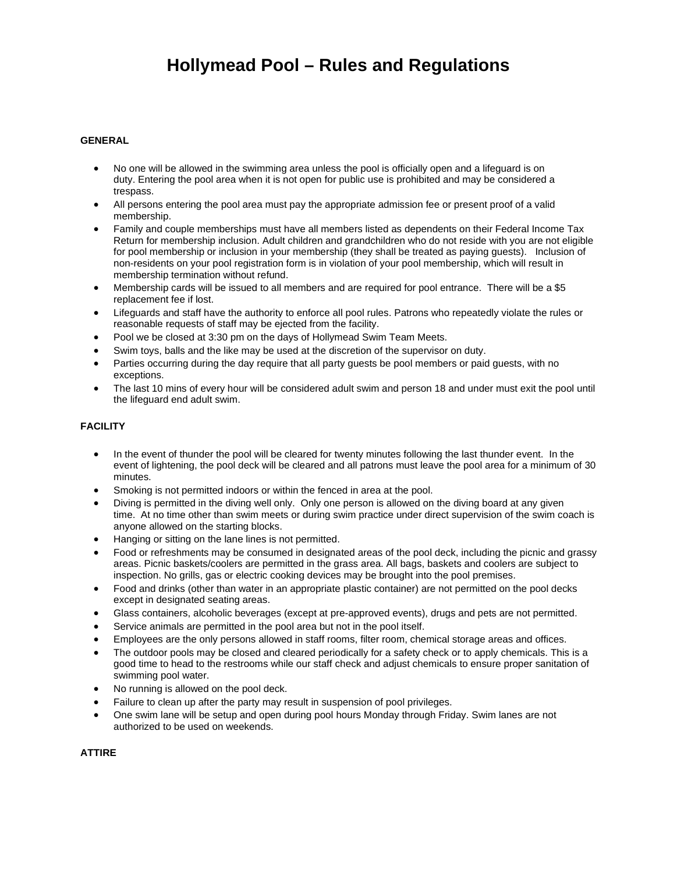# **Hollymead Pool – Rules and Regulations**

#### **GENERAL**

- No one will be allowed in the swimming area unless the pool is officially open and a lifeguard is on duty. Entering the pool area when it is not open for public use is prohibited and may be considered a trespass.
- All persons entering the pool area must pay the appropriate admission fee or present proof of a valid membership.
- Family and couple memberships must have all members listed as dependents on their Federal Income Tax Return for membership inclusion. Adult children and grandchildren who do not reside with you are not eligible for pool membership or inclusion in your membership (they shall be treated as paying guests). Inclusion of non-residents on your pool registration form is in violation of your pool membership, which will result in membership termination without refund.
- Membership cards will be issued to all members and are required for pool entrance. There will be a \$5 replacement fee if lost.
- Lifeguards and staff have the authority to enforce all pool rules. Patrons who repeatedly violate the rules or reasonable requests of staff may be ejected from the facility.
- Pool we be closed at 3:30 pm on the days of Hollymead Swim Team Meets.
- Swim toys, balls and the like may be used at the discretion of the supervisor on duty.
- Parties occurring during the day require that all party guests be pool members or paid guests, with no exceptions.
- The last 10 mins of every hour will be considered adult swim and person 18 and under must exit the pool until the lifeguard end adult swim.

### **FACILITY**

- In the event of thunder the pool will be cleared for twenty minutes following the last thunder event. In the event of lightening, the pool deck will be cleared and all patrons must leave the pool area for a minimum of 30 minutes.
- Smoking is not permitted indoors or within the fenced in area at the pool.
- Diving is permitted in the diving well only. Only one person is allowed on the diving board at any given time. At no time other than swim meets or during swim practice under direct supervision of the swim coach is anyone allowed on the starting blocks.
- Hanging or sitting on the lane lines is not permitted.
- Food or refreshments may be consumed in designated areas of the pool deck, including the picnic and grassy areas. Picnic baskets/coolers are permitted in the grass area. All bags, baskets and coolers are subject to inspection. No grills, gas or electric cooking devices may be brought into the pool premises.
- Food and drinks (other than water in an appropriate plastic container) are not permitted on the pool decks except in designated seating areas.
- Glass containers, alcoholic beverages (except at pre-approved events), drugs and pets are not permitted.
- Service animals are permitted in the pool area but not in the pool itself.
- Employees are the only persons allowed in staff rooms, filter room, chemical storage areas and offices.
- The outdoor pools may be closed and cleared periodically for a safety check or to apply chemicals. This is a good time to head to the restrooms while our staff check and adjust chemicals to ensure proper sanitation of swimming pool water.
- No running is allowed on the pool deck.
- Failure to clean up after the party may result in suspension of pool privileges.
- One swim lane will be setup and open during pool hours Monday through Friday. Swim lanes are not authorized to be used on weekends.

#### **ATTIRE**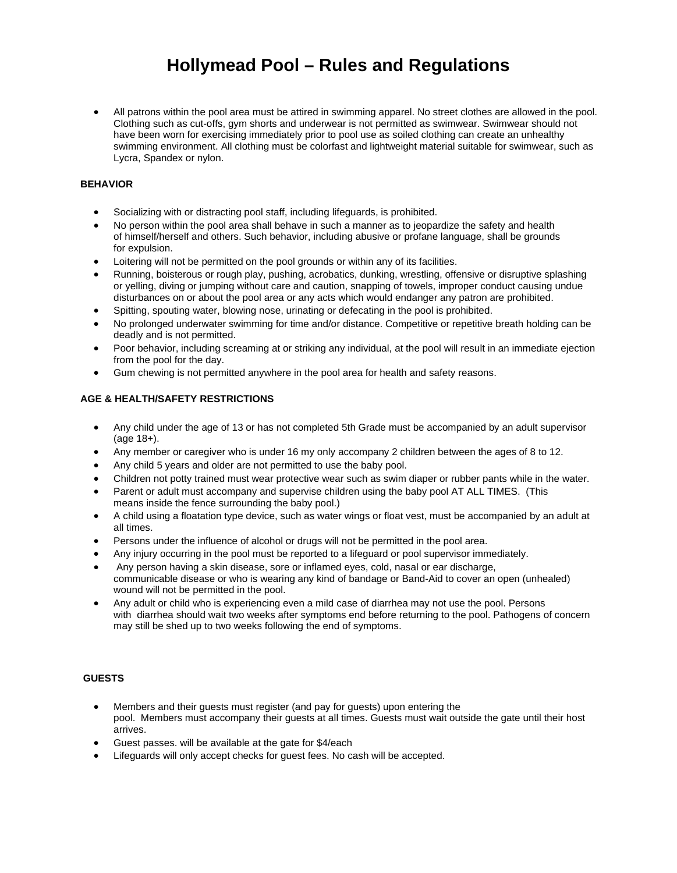# **Hollymead Pool – Rules and Regulations**

 All patrons within the pool area must be attired in swimming apparel. No street clothes are allowed in the pool. Clothing such as cut-offs, gym shorts and underwear is not permitted as swimwear. Swimwear should not have been worn for exercising immediately prior to pool use as soiled clothing can create an unhealthy swimming environment. All clothing must be colorfast and lightweight material suitable for swimwear, such as Lycra, Spandex or nylon.

### **BEHAVIOR**

- Socializing with or distracting pool staff, including lifeguards, is prohibited.
- No person within the pool area shall behave in such a manner as to jeopardize the safety and health of himself/herself and others. Such behavior, including abusive or profane language, shall be grounds for expulsion.
- Loitering will not be permitted on the pool grounds or within any of its facilities.
- Running, boisterous or rough play, pushing, acrobatics, dunking, wrestling, offensive or disruptive splashing or yelling, diving or jumping without care and caution, snapping of towels, improper conduct causing undue disturbances on or about the pool area or any acts which would endanger any patron are prohibited.
- Spitting, spouting water, blowing nose, urinating or defecating in the pool is prohibited.
- No prolonged underwater swimming for time and/or distance. Competitive or repetitive breath holding can be deadly and is not permitted.
- Poor behavior, including screaming at or striking any individual, at the pool will result in an immediate ejection from the pool for the day.
- Gum chewing is not permitted anywhere in the pool area for health and safety reasons.

### **AGE & HEALTH/SAFETY RESTRICTIONS**

- Any child under the age of 13 or has not completed 5th Grade must be accompanied by an adult supervisor (age 18+).
- Any member or caregiver who is under 16 my only accompany 2 children between the ages of 8 to 12.
- Any child 5 years and older are not permitted to use the baby pool.
- Children not potty trained must wear protective wear such as swim diaper or rubber pants while in the water.
- Parent or adult must accompany and supervise children using the baby pool AT ALL TIMES. (This means inside the fence surrounding the baby pool.)
- A child using a floatation type device, such as water wings or float vest, must be accompanied by an adult at all times.
- Persons under the influence of alcohol or drugs will not be permitted in the pool area.
- Any injury occurring in the pool must be reported to a lifeguard or pool supervisor immediately.
- Any person having a skin disease, sore or inflamed eyes, cold, nasal or ear discharge, communicable disease or who is wearing any kind of bandage or Band-Aid to cover an open (unhealed) wound will not be permitted in the pool.
- Any adult or child who is experiencing even a mild case of diarrhea may not use the pool. Persons with diarrhea should wait two weeks after symptoms end before returning to the pool. Pathogens of concern may still be shed up to two weeks following the end of symptoms.

### **GUESTS**

- Members and their guests must register (and pay for guests) upon entering the pool. Members must accompany their guests at all times. Guests must wait outside the gate until their host arrives.
- Guest passes. will be available at the gate for \$4/each
- Lifeguards will only accept checks for guest fees. No cash will be accepted.